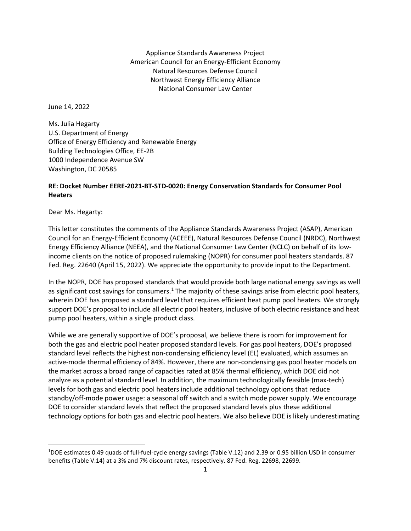Appliance Standards Awareness Project American Council for an Energy-Efficient Economy Natural Resources Defense Council Northwest Energy Efficiency Alliance National Consumer Law Center

June 14, 2022

Ms. Julia Hegarty U.S. Department of Energy Office of Energy Efficiency and Renewable Energy Building Technologies Office, EE-2B 1000 Independence Avenue SW Washington, DC 20585

## **RE: Docket Number EERE-2021-BT-STD-0020: Energy Conservation Standards for Consumer Pool Heaters**

Dear Ms. Hegarty:

This letter constitutes the comments of the Appliance Standards Awareness Project (ASAP), American Council for an Energy-Efficient Economy (ACEEE), Natural Resources Defense Council (NRDC), Northwest Energy Efficiency Alliance (NEEA), and the National Consumer Law Center (NCLC) on behalf of its lowincome clients on the notice of proposed rulemaking (NOPR) for consumer pool heaters standards. 87 Fed. Reg. 22640 (April 15, 2022). We appreciate the opportunity to provide input to the Department.

In the NOPR, DOE has proposed standards that would provide both large national energy savings as well as significant cost savings for consumers.<sup>[1](#page-0-0)</sup> The majority of these savings arise from electric pool heaters, wherein DOE has proposed a standard level that requires efficient heat pump pool heaters. We strongly support DOE's proposal to include all electric pool heaters, inclusive of both electric resistance and heat pump pool heaters, within a single product class.

While we are generally supportive of DOE's proposal, we believe there is room for improvement for both the gas and electric pool heater proposed standard levels. For gas pool heaters, DOE's proposed standard level reflects the highest non-condensing efficiency level (EL) evaluated, which assumes an active-mode thermal efficiency of 84%. However, there are non-condensing gas pool heater models on the market across a broad range of capacities rated at 85% thermal efficiency, which DOE did not analyze as a potential standard level. In addition, the maximum technologically feasible (max-tech) levels for both gas and electric pool heaters include additional technology options that reduce standby/off-mode power usage: a seasonal off switch and a switch mode power supply. We encourage DOE to consider standard levels that reflect the proposed standard levels plus these additional technology options for both gas and electric pool heaters. We also believe DOE is likely underestimating

<span id="page-0-0"></span><sup>1</sup> DOE estimates 0.49 quads of full-fuel-cycle energy savings (Table V.12) and 2.39 or 0.95 billion USD in consumer benefits (Table V.14) at a 3% and 7% discount rates, respectively. 87 Fed. Reg. 22698, 22699.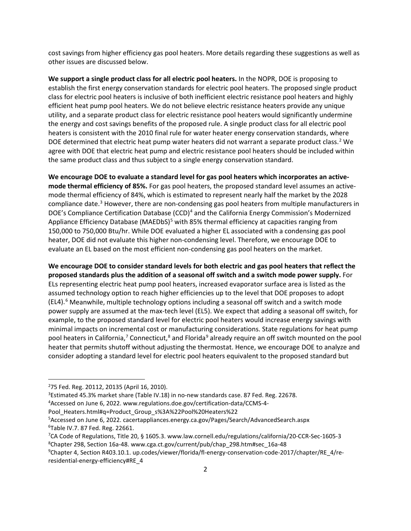cost savings from higher efficiency gas pool heaters. More details regarding these suggestions as well as other issues are discussed below.

**We support a single product class for all electric pool heaters.** In the NOPR, DOE is proposing to establish the first energy conservation standards for electric pool heaters. The proposed single product class for electric pool heaters is inclusive of both inefficient electric resistance pool heaters and highly efficient heat pump pool heaters. We do not believe electric resistance heaters provide any unique utility, and a separate product class for electric resistance pool heaters would significantly undermine the energy and cost savings benefits of the proposed rule. A single product class for all electric pool heaters is consistent with the 2010 final rule for water heater energy conservation standards, where DOE determined that electric heat pump water heaters did not warrant a separate product class.<sup>[2](#page-1-0)</sup> We agree with DOE that electric heat pump and electric resistance pool heaters should be included within the same product class and thus subject to a single energy conservation standard.

**We encourage DOE to evaluate a standard level for gas pool heaters which incorporates an activemode thermal efficiency of 85%.** For gas pool heaters, the proposed standard level assumes an activemode thermal efficiency of 84%, which is estimated to represent nearly half the market by the 2028 compliance date. [3](#page-1-1) However, there are non-condensing gas pool heaters from multiple manufacturers in DOE's Compliance Certification Database (CCD)<sup>[4](#page-1-2)</sup> and the California Energy Commission's Modernized Appliance Efficiency Database (MAEDbS)<sup>[5](#page-1-3)</sup> with 85% thermal efficiency at capacities ranging from 150,000 to 750,000 Btu/hr. While DOE evaluated a higher EL associated with a condensing gas pool heater, DOE did not evaluate this higher non-condensing level. Therefore, we encourage DOE to evaluate an EL based on the most efficient non-condensing gas pool heaters on the market.

**We encourage DOE to consider standard levels for both electric and gas pool heaters that reflect the proposed standards plus the addition of a seasonal off switch and a switch mode power supply.** For ELs representing electric heat pump pool heaters, increased evaporator surface area is listed as the assumed technology option to reach higher efficiencies up to the level that DOE proposes to adopt (EL4). [6](#page-1-4) Meanwhile, multiple technology options including a seasonal off switch and a switch mode power supply are assumed at the max-tech level (EL5). We expect that adding a seasonal off switch, for example, to the proposed standard level for electric pool heaters would increase energy savings with minimal impacts on incremental cost or manufacturing considerations. State regulations for heat pump pool heaters in California,<sup>7</sup> Connecticut,<sup>[8](#page-1-6)</sup> and Florida<sup>[9](#page-1-7)</sup> already require an off switch mounted on the pool heater that permits shutoff without adjusting the thermostat. Hence, we encourage DOE to analyze and consider adopting a standard level for electric pool heaters equivalent to the proposed standard but

<span id="page-1-0"></span><sup>2</sup> 75 Fed. Reg. 20112, 20135 (April 16, 2010).

<span id="page-1-1"></span><sup>&</sup>lt;sup>3</sup>Estimated 45.3% market share (Table IV.18) in no-new standards case. 87 Fed. Reg. 22678.

<span id="page-1-2"></span><sup>4</sup> Accessed on June 6, 2022. www.regulations.doe.gov/certification-data/CCMS-4-

Pool\_Heaters.html#q=Product\_Group\_s%3A%22Pool%20Heaters%22

<span id="page-1-4"></span><span id="page-1-3"></span><sup>5</sup> Accessed on June 6, 2022. cacertappliances.energy.ca.gov/Pages/Search/AdvancedSearch.aspx 6 Table IV.7. 87 Fed. Reg. 22661.

<span id="page-1-6"></span><span id="page-1-5"></span><sup>7</sup> CA Code of Regulations, Title 20, § 1605.3. www.law.cornell.edu/regulations/california/20-CCR-Sec-1605-3 8 Chapter 298, Section 16a-48. www.cga.ct.gov/current/pub/chap\_298.htm#sec\_16a-48

<span id="page-1-7"></span><sup>9</sup> Chapter 4, Section R403.10.1. up.codes/viewer/florida/fl-energy-conservation-code-2017/chapter/RE\_4/reresidential-energy-efficiency#RE\_4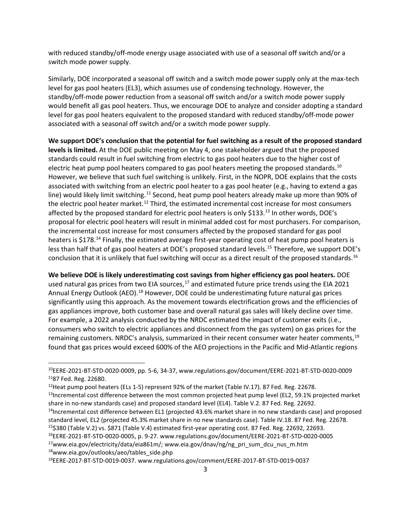with reduced standby/off-mode energy usage associated with use of a seasonal off switch and/or a switch mode power supply.

Similarly, DOE incorporated a seasonal off switch and a switch mode power supply only at the max-tech level for gas pool heaters (EL3), which assumes use of condensing technology. However, the standby/off-mode power reduction from a seasonal off switch and/or a switch mode power supply would benefit all gas pool heaters. Thus, we encourage DOE to analyze and consider adopting a standard level for gas pool heaters equivalent to the proposed standard with reduced standby/off-mode power associated with a seasonal off switch and/or a switch mode power supply.

**We support DOE's conclusion that the potential for fuel switching as a result of the proposed standard levels is limited.** At the DOE public meeting on May 4, one stakeholder argued that the proposed standards could result in fuel switching from electric to gas pool heaters due to the higher cost of electric heat pump pool heaters compared to gas pool heaters meeting the proposed standards.<sup>[10](#page-2-0)</sup> However, we believe that such fuel switching is unlikely. First, in the NOPR, DOE explains that the costs associated with switching from an electric pool heater to a gas pool heater (e.g., having to extend a gas line) would likely limit switching.<sup>[11](#page-2-1)</sup> Second, heat pump pool heaters already make up more than 90% of the electric pool heater market.<sup>[12](#page-2-2)</sup> Third, the estimated incremental cost increase for most consumers affected by the proposed standard for electric pool heaters is only \$[13](#page-2-3)3.<sup>13</sup> In other words, DOE's proposal for electric pool heaters will result in minimal added cost for most purchasers. For comparison, the incremental cost increase for most consumers affected by the proposed standard for gas pool heaters is \$178.<sup>[14](#page-2-4)</sup> Finally, the estimated average first-year operating cost of heat pump pool heaters is less than half that of gas pool heaters at DOE's proposed standard levels.<sup>[15](#page-2-5)</sup> Therefore, we support DOE's conclusion that it is unlikely that fuel switching will occur as a direct result of the proposed standards.<sup>[16](#page-2-6)</sup>

**We believe DOE is likely underestimating cost savings from higher efficiency gas pool heaters.** DOE used natural gas prices from two EIA sources,<sup>[17](#page-2-7)</sup> and estimated future price trends using the EIA 2021 Annual Energy Outlook (AEO).<sup>[18](#page-2-8)</sup> However, DOE could be underestimating future natural gas prices significantly using this approach. As the movement towards electrification grows and the efficiencies of gas appliances improve, both customer base and overall natural gas sales will likely decline over time. For example, a 2022 analysis conducted by the NRDC estimated the impact of customer exits (i.e., consumers who switch to electric appliances and disconnect from the gas system) on gas prices for the remaining customers. NRDC's analysis, summarized in their recent consumer water heater comments,<sup>[19](#page-2-9)</sup> found that gas prices would exceed 600% of the AEO projections in the Pacific and Mid-Atlantic regions

<span id="page-2-4"></span><sup>14</sup>Incremental cost difference between EL1 (projected 43.6% market share in no new standards case) and proposed standard level, EL2 (projected 45.3% market share in no new standards case). Table IV.18. 87 Fed. Reg. 22678.

<span id="page-2-7"></span><span id="page-2-6"></span>16EERE-2021-BT-STD-0020-0005, p. 9-27. www.regulations.gov/document/EERE-2021-BT-STD-0020-0005 <sup>17</sup>www.eia.gov/electricity/data/eia861m/; www.eia.gov/dnav/ng/ng\_pri\_sum\_dcu\_nus\_m.htm 18www.eia.gov/outlooks/aeo/tables\_side.php

<span id="page-2-9"></span><span id="page-2-8"></span>19EERE-2017-BT-STD-0019-0037. www.regulations.gov/comment/EERE-2017-BT-STD-0019-0037

<span id="page-2-1"></span><span id="page-2-0"></span><sup>10</sup>EERE-2021-BT-STD-0020-0009, pp. 5-6, 34-37, www.regulations.gov/document/EERE-2021-BT-STD-0020-0009 1187 Fed. Reg. 22680.

<span id="page-2-3"></span><span id="page-2-2"></span><sup>&</sup>lt;sup>12</sup>Heat pump pool heaters (ELs 1-5) represent 92% of the market (Table IV.17). 87 Fed. Reg. 22678.<br><sup>13</sup>Incremental cost difference between the most common projected heat pump level (EL2, 59.1% projected market share in no-new standards case) and proposed standard level (EL4). Table V.2. 87 Fed. Reg. 22692.

<span id="page-2-5"></span><sup>15\$380 (</sup>Table V.2) vs. \$871 (Table V.4) estimated first-year operating cost. 87 Fed. Reg. 22692, 22693.